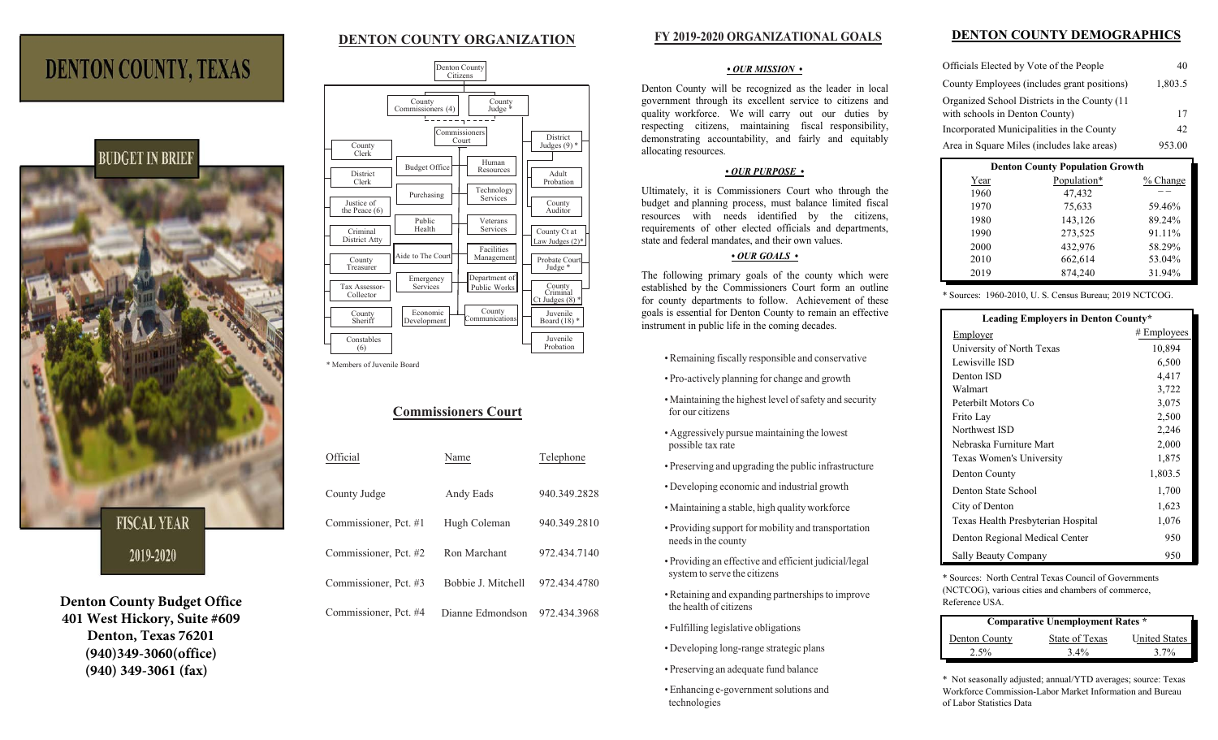## **DENTON COUNTY ORGANIZATION**

### **FY 2019-2020 ORGANIZATIONAL GOALS**

#### *• OUR MISSION •*

Denton County will be recognized as the leader in local government through its excellent service to citizens and quality workforce. We will carry out our duties by respecting citizens, maintaining fiscal responsibility, demonstrating accountability, and fairly and equitably allocating resources.

### *• OUR PURPOSE •*

Ultimately, it is Commissioners Court who through the budget and planning process, must balance limited fiscal resources with needs identified by the citizens, requirements of other elected officials and departments, state and federal mandates, and their own values.

### *• OUR GOALS •*

The following primary goals of the county which were established by the Commissioners Court form an outline for county departments to follow. Achievement of these goals is essential for Denton County to remain an effective instrument in public life in the coming decades.

- *•* Remaining fiscally responsible and conservative
- *•* Pro-actively planning for change and growth
- *•* Maintaining the highest level of safety and security for our citizens
- *•* Aggressively pursue maintaining the lowest possible tax rate
- *•* Preserving and upgrading the public infrastructure
- *•* Developing economic and industrial growth
- *•* Maintaining a stable, high quality workforce
- *•* Providing support for mobility and transportation needs in the county
- *•* Providing an effective and efficient judicial/legal system to serve the citizens
- *•* Retaining and expanding partnerships to improve the health of citizens
- *•* Fulfilling legislative obligations
- *•* Developing long-range strategic plans
- *•* Preserving an adequate fund balance
- *•* Enhancing e-government solutions and technologies

### **DENTON COUNTY DEMOGRAPHICS**

| Officials Elected by Vote of the People       | 40      |
|-----------------------------------------------|---------|
| County Employees (includes grant positions)   | 1,803.5 |
| Organized School Districts in the County (11) |         |
| with schools in Denton County)                | 17      |
| Incorporated Municipalities in the County     | 42      |
| Area in Square Miles (includes lake areas)    | 953.00  |

| <b>Denton County Population Growth</b> |             |            |  |  |
|----------------------------------------|-------------|------------|--|--|
| Year                                   | Population* | $%$ Change |  |  |
| 1960                                   | 47,432      |            |  |  |
| 1970                                   | 75,633      | 59.46%     |  |  |
| 1980                                   | 143,126     | 89.24%     |  |  |
| 1990                                   | 273,525     | 91.11%     |  |  |
| 2000                                   | 432,976     | 58.29%     |  |  |
| 2010                                   | 662,614     | 53.04%     |  |  |
| 2019                                   | 874,240     | 31.94%     |  |  |

\* Sources: 1960-2010, U. S. Census Bureau; 2019 NCTCOG.

| Leading Employers in Denton County* |               |  |
|-------------------------------------|---------------|--|
| Employer                            | $#$ Employees |  |
| University of North Texas           | 10,894        |  |
| Lewisville ISD                      | 6,500         |  |
| Denton ISD                          | 4,417         |  |
| Walmart                             | 3,722         |  |
| Peterbilt Motors Co                 | 3,075         |  |
| Frito Lay                           | 2,500         |  |
| Northwest ISD                       | 2,246         |  |
| Nebraska Furniture Mart             | 2,000         |  |
| Texas Women's University            | 1,875         |  |
| Denton County                       | 1,803.5       |  |
| Denton State School                 | 1,700         |  |
| City of Denton                      | 1,623         |  |
| Texas Health Presbyterian Hospital  | 1,076         |  |
| Denton Regional Medical Center      | 950           |  |
| Sally Beauty Company                | 950           |  |

\* Sources: North Central Texas Council of Governments (NCTCOG), various cities and chambers of commerce, Reference USA.

| <b>Comparative Unemployment Rates *</b> |                |                      |  |
|-----------------------------------------|----------------|----------------------|--|
| Denton County                           | State of Texas | <b>United States</b> |  |
| 2.5%                                    | $3.4\%$        | $3.7\%$              |  |

\* Not seasonally adjusted; annual/YTD averages; source: Texas Workforce Commission-Labor Market Information and Bureau of Labor Statistics Data



**DENTON COUNTY, TEXAS** 

**FISCAL YEAR** 

# 2019-2020

**Denton County Budget Office 401 West Hickory, Suite #609 Denton, Texas 76201 (940)349-3060(office) (940) 349-3061 (fax)**

| Denton County<br>Citizens                                                                                                                                                                                                                                                                                                                                                                                                                                                                                                                                                           |                                                                                                                                                                                                                                           |
|-------------------------------------------------------------------------------------------------------------------------------------------------------------------------------------------------------------------------------------------------------------------------------------------------------------------------------------------------------------------------------------------------------------------------------------------------------------------------------------------------------------------------------------------------------------------------------------|-------------------------------------------------------------------------------------------------------------------------------------------------------------------------------------------------------------------------------------------|
| County<br>County<br>Commissioners (4)<br>Judge *<br>Commissioners<br>Court<br>County<br>Clerk<br>Human<br><b>Budget Office</b><br>Resources<br>District<br>Clerk<br>Technology<br>Purchasing<br>Services<br>Justice of<br>the Peace $(6)$<br>Public<br>Veterans<br>Health<br>Services<br>Criminal<br>District Atty<br>Facilities<br>Aide to The Court<br>Management<br>County<br>Treasurer<br>Department of<br>Emergency<br>Tax Assessor-<br>Services<br>Public Works<br>Collector<br>County<br>Economic<br>County<br>Communications<br>Sheriff<br>Development<br>Constables<br>(6) | District<br>Judges $(9)$ *<br>Adult<br>Probation<br>County<br>Auditor<br>County Ct at<br>Law Judges $(2)$ *<br>Probate Court<br>Judge *<br>County<br>Criminal<br>Ct Judges $(8)$ *<br>Juvenile<br>Board $(18)$ *<br>Juvenile<br>Probation |

\* Members of Juvenile Board

# **Commissioners Court**

| Official              | Name               | Telephone    |
|-----------------------|--------------------|--------------|
| County Judge          | Andy Eads          | 940.349.2828 |
| Commissioner, Pct. #1 | Hugh Coleman       | 940.349.2810 |
| Commissioner, Pct. #2 | Ron Marchant       | 972.434.7140 |
| Commissioner, Pct. #3 | Bobbie J. Mitchell | 972.434.4780 |
| Commissioner, Pct. #4 | Dianne Edmondson   | 972.434.3968 |